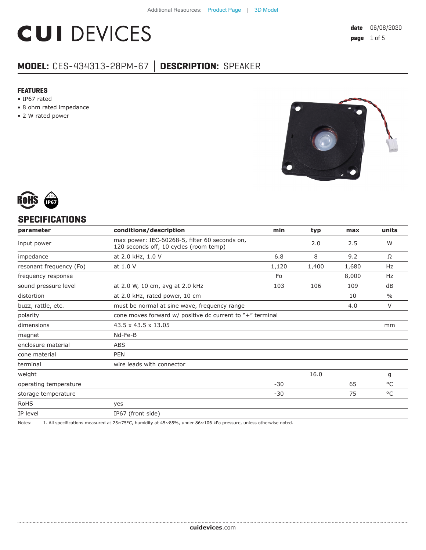# **CUI DEVICES**

### **MODEL:** CES-434313-28PM-67 **│ DESCRIPTION:** SPEAKER

#### **FEATURES**

- IP67 rated
- 8 ohm rated impedance
- 2 W rated power





#### **SPECIFICATIONS**

| parameter               | conditions/description                                                                  | min   | typ   | max   | units         |
|-------------------------|-----------------------------------------------------------------------------------------|-------|-------|-------|---------------|
| input power             | max power: IEC-60268-5, filter 60 seconds on,<br>120 seconds off, 10 cycles (room temp) |       | 2.0   | 2.5   | W             |
| impedance               | at 2.0 kHz, 1.0 V                                                                       | 6.8   | 8     | 9.2   | Ω             |
| resonant frequency (Fo) | at 1.0 V                                                                                | 1,120 | 1,400 | 1,680 | Hz            |
| frequency response      |                                                                                         | Fo    |       | 8,000 | Hz            |
| sound pressure level    | at 2.0 W, 10 cm, avg at 2.0 kHz                                                         | 103   | 106   | 109   | dB            |
| distortion              | at 2.0 kHz, rated power, 10 cm                                                          |       |       | 10    | $\frac{0}{0}$ |
| buzz, rattle, etc.      | must be normal at sine wave, frequency range                                            |       |       | 4.0   | V             |
| polarity                | cone moves forward w/ positive dc current to "+" terminal                               |       |       |       |               |
| dimensions              | $43.5 \times 43.5 \times 13.05$                                                         |       |       |       | mm            |
| magnet                  | Nd-Fe-B                                                                                 |       |       |       |               |
| enclosure material      | <b>ABS</b>                                                                              |       |       |       |               |
| cone material           | <b>PEN</b>                                                                              |       |       |       |               |
| terminal                | wire leads with connector                                                               |       |       |       |               |
| weight                  |                                                                                         |       | 16.0  |       | g             |
| operating temperature   |                                                                                         | $-30$ |       | 65    | °C            |
| storage temperature     |                                                                                         | $-30$ |       | 75    | °C            |
| <b>RoHS</b>             | yes                                                                                     |       |       |       |               |
| IP level                | IP67 (front side)                                                                       |       |       |       |               |

Notes: 1. All specifications measured at 25~75°C, humidity at 45~85%, under 86~106 kPa pressure, unless otherwise noted.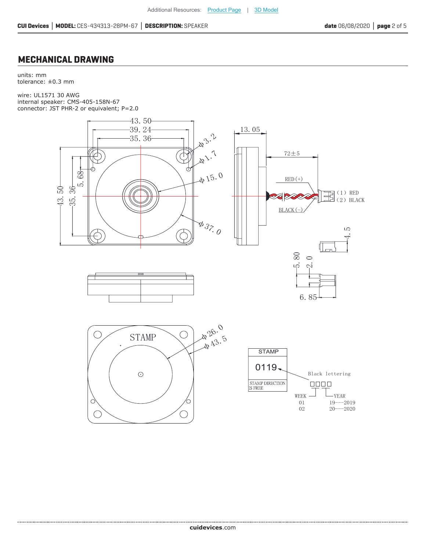#### **MECHANICAL DRAWING**

units: mm tolerance: ±0.3 mm

wire: UL1571 30 AWG internal speaker: CMS-405-158N-67 connector: JST PHR-2 or equivalent; P=2.0





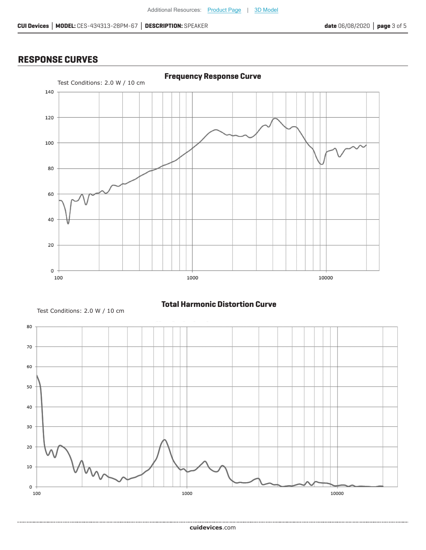#### **RESPONSE CURVES**



Test Conditions: 2.0 W / 10 cm

................

**Total Harmonic Distortion Curve**



**cui[devices](https://www.cuidevices.com/track?actionLabel=Datasheet-ClickThrough-HomePage&label=CES-434313-28PM-67.pdf&path=/)**.com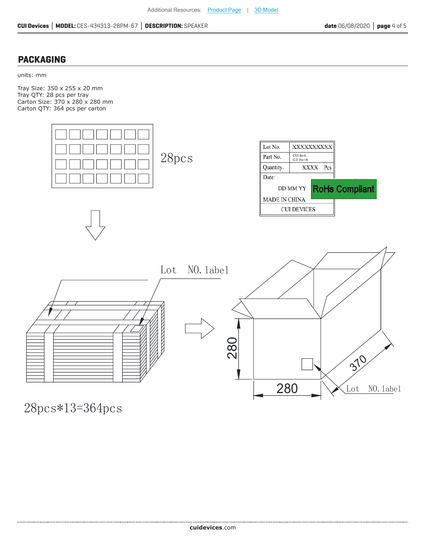#### **PACKAGING**

units: mm

Tray Size: 350 x 255 x 20 mm Tray QTY: 28 pcs per tray Carton Size: 370 x 280 x 280 mm Carton QTY: 364 pcs per carton



28pcs\*13=364pcs